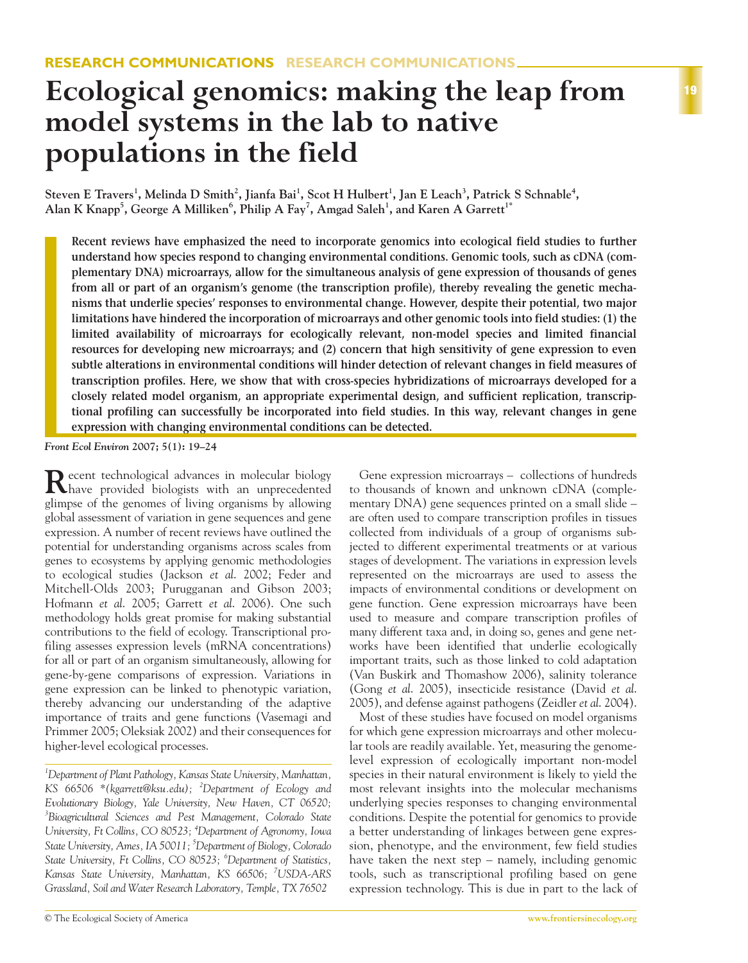# **Ecological genomics: making the leap from model systems in the lab to native populations in the field**

 $\,$ Steven E Travers $^1$ , Melinda D Smith $^2$ , Jianfa Bai $^1$ , Scot H Hulbert $^1$ , Jan E Leach $^3$ , Patrick S Schnable $^4$ ,  $\mathbf{A}$ lan K Knapp $^5$ , George A Milliken $^6$ , Philip A Fay<sup>7</sup>, Amgad Saleh<sup>1</sup>, and Karen A Garrett<sup>1\*</sup>

**Recent reviews have emphasized the need to incorporate genomics into ecological field studies to further understand how species respond to changing environmental conditions. Genomic tools, such as cDNA (complementary DNA) microarrays, allow for the simultaneous analysis of gene expression of thousands of genes from all or part of an organism's genome (the transcription profile), thereby revealing the genetic mechanisms that underlie species' responses to environmental change. However, despite their potential, two major limitations have hindered the incorporation of microarrays and other genomic tools into field studies: (1) the limited availability of microarrays for ecologically relevant, non-model species and limited financial resources for developing new microarrays; and (2) concern that high sensitivity of gene expression to even subtle alterations in environmental conditions will hinder detection of relevant changes in field measures of transcription profiles. Here, we show that with cross-species hybridizations of microarrays developed for a closely related model organism, an appropriate experimental design, and sufficient replication, transcriptional profiling can successfully be incorporated into field studies. In this way, relevant changes in gene expression with changing environmental conditions can be detected.**

*Front Ecol Environ* **2007; 5(1): 19–24**

Recent technological advances in molecular biology<br>
have provided biologists with an unprecedented glimpse of the genomes of living organisms by allowing global assessment of variation in gene sequences and gene expression. A number of recent reviews have outlined the potential for understanding organisms across scales from genes to ecosystems by applying genomic methodologies to ecological studies (Jackson *et al*. 2002; Feder and Mitchell-Olds 2003; Purugganan and Gibson 2003; Hofmann *et al*. 2005; Garrett *et al*. 2006). One such methodology holds great promise for making substantial contributions to the field of ecology. Transcriptional profiling assesses expression levels (mRNA concentrations) for all or part of an organism simultaneously, allowing for gene-by-gene comparisons of expression. Variations in gene expression can be linked to phenotypic variation, thereby advancing our understanding of the adaptive importance of traits and gene functions (Vasemagi and Primmer 2005; Oleksiak 2002) and their consequences for higher-level ecological processes.

*1 Department of Plant Pathology, Kansas State University, Manhattan, KS 66506 \*(kgarrett@ksu.edu); <sup>2</sup> Department of Ecology and Evolutionary Biology, Yale University, New Haven, CT 06520; 3 Bioagricultural Sciences and Pest Management, Colorado State University, Ft Collins, CO 80523; <sup>4</sup> Department of Agronomy, Iowa State University, Ames, IA 50011; 5 Department of Biology, Colorado State University, Ft Collins, CO 80523; <sup>6</sup> Department of Statistics, Kansas State University, Manhattan, KS 66506; <sup>7</sup> USDA-ARS Grassland, Soil and Water Research Laboratory, Temple, TX 76502* 

Gene expression microarrays – collections of hundreds to thousands of known and unknown cDNA (complementary DNA) gene sequences printed on a small slide – are often used to compare transcription profiles in tissues collected from individuals of a group of organisms subjected to different experimental treatments or at various stages of development. The variations in expression levels represented on the microarrays are used to assess the impacts of environmental conditions or development on gene function. Gene expression microarrays have been used to measure and compare transcription profiles of many different taxa and, in doing so, genes and gene networks have been identified that underlie ecologically important traits, such as those linked to cold adaptation (Van Buskirk and Thomashow 2006), salinity tolerance (Gong *et al*. 2005), insecticide resistance (David *et al*. 2005), and defense against pathogens (Zeidler *et al*. 2004).

Most of these studies have focused on model organisms for which gene expression microarrays and other molecular tools are readily available. Yet, measuring the genomelevel expression of ecologically important non-model species in their natural environment is likely to yield the most relevant insights into the molecular mechanisms underlying species responses to changing environmental conditions. Despite the potential for genomics to provide a better understanding of linkages between gene expression, phenotype, and the environment, few field studies have taken the next step – namely, including genomic tools, such as transcriptional profiling based on gene expression technology. This is due in part to the lack of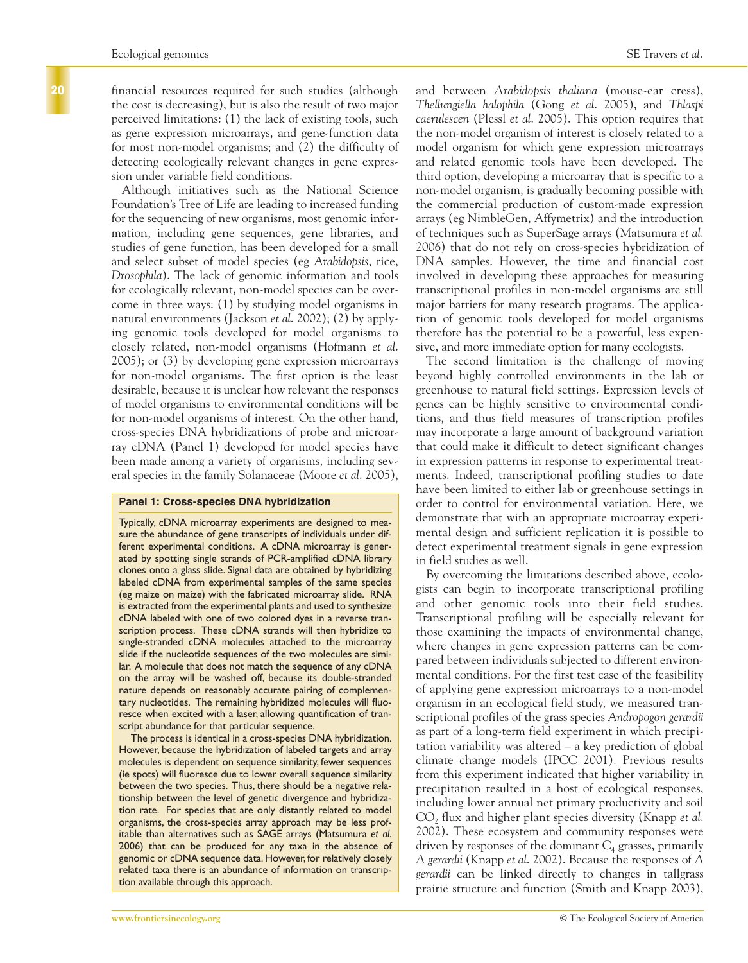financial resources required for such studies (although the cost is decreasing), but is also the result of two major perceived limitations: (1) the lack of existing tools, such as gene expression microarrays, and gene-function data for most non-model organisms; and (2) the difficulty of detecting ecologically relevant changes in gene expression under variable field conditions.

Although initiatives such as the National Science Foundation's Tree of Life are leading to increased funding for the sequencing of new organisms, most genomic information, including gene sequences, gene libraries, and studies of gene function, has been developed for a small and select subset of model species (eg *Arabidopsis*, rice, *Drosophila*). The lack of genomic information and tools for ecologically relevant, non-model species can be overcome in three ways: (1) by studying model organisms in natural environments (Jackson *et al*. 2002); (2) by applying genomic tools developed for model organisms to closely related, non-model organisms (Hofmann *et al*. 2005); or (3) by developing gene expression microarrays for non-model organisms. The first option is the least desirable, because it is unclear how relevant the responses of model organisms to environmental conditions will be for non-model organisms of interest. On the other hand, cross-species DNA hybridizations of probe and microarray cDNA (Panel 1) developed for model species have been made among a variety of organisms, including several species in the family Solanaceae (Moore *et al*. 2005),

### **Panel 1: Cross-species DNA hybridization**

Typically, cDNA microarray experiments are designed to measure the abundance of gene transcripts of individuals under different experimental conditions. A cDNA microarray is generated by spotting single strands of PCR-amplified cDNA library clones onto a glass slide. Signal data are obtained by hybridizing labeled cDNA from experimental samples of the same species (eg maize on maize) with the fabricated microarray slide. RNA is extracted from the experimental plants and used to synthesize cDNA labeled with one of two colored dyes in a reverse transcription process. These cDNA strands will then hybridize to single-stranded cDNA molecules attached to the microarray slide if the nucleotide sequences of the two molecules are similar. A molecule that does not match the sequence of any cDNA on the array will be washed off, because its double-stranded nature depends on reasonably accurate pairing of complementary nucleotides. The remaining hybridized molecules will fluoresce when excited with a laser, allowing quantification of transcript abundance for that particular sequence.

The process is identical in a cross-species DNA hybridization. However, because the hybridization of labeled targets and array molecules is dependent on sequence similarity, fewer sequences (ie spots) will fluoresce due to lower overall sequence similarity between the two species. Thus, there should be a negative relationship between the level of genetic divergence and hybridization rate. For species that are only distantly related to model organisms, the cross-species array approach may be less profitable than alternatives such as SAGE arrays (Matsumura *et al*. 2006) that can be produced for any taxa in the absence of genomic or cDNA sequence data. However, for relatively closely related taxa there is an abundance of information on transcription available through this approach.

and between *Arabidopsis thaliana* (mouse-ear cress), *Thellungiella halophila* (Gong *et al*. 2005), and *Thlaspi caerulescen* (Plessl *et al*. 2005). This option requires that the non-model organism of interest is closely related to a model organism for which gene expression microarrays and related genomic tools have been developed. The third option, developing a microarray that is specific to a non-model organism, is gradually becoming possible with the commercial production of custom-made expression arrays (eg NimbleGen, Affymetrix) and the introduction of techniques such as SuperSage arrays (Matsumura *et al*. 2006) that do not rely on cross-species hybridization of DNA samples. However, the time and financial cost involved in developing these approaches for measuring transcriptional profiles in non-model organisms are still major barriers for many research programs. The application of genomic tools developed for model organisms therefore has the potential to be a powerful, less expensive, and more immediate option for many ecologists.

The second limitation is the challenge of moving beyond highly controlled environments in the lab or greenhouse to natural field settings. Expression levels of genes can be highly sensitive to environmental conditions, and thus field measures of transcription profiles may incorporate a large amount of background variation that could make it difficult to detect significant changes in expression patterns in response to experimental treatments. Indeed, transcriptional profiling studies to date have been limited to either lab or greenhouse settings in order to control for environmental variation. Here, we demonstrate that with an appropriate microarray experimental design and sufficient replication it is possible to detect experimental treatment signals in gene expression in field studies as well.

By overcoming the limitations described above, ecologists can begin to incorporate transcriptional profiling and other genomic tools into their field studies. Transcriptional profiling will be especially relevant for those examining the impacts of environmental change, where changes in gene expression patterns can be compared between individuals subjected to different environmental conditions. For the first test case of the feasibility of applying gene expression microarrays to a non-model organism in an ecological field study, we measured transcriptional profiles of the grass species *Andropogon gerardii* as part of a long-term field experiment in which precipitation variability was altered – a key prediction of global climate change models (IPCC 2001). Previous results from this experiment indicated that higher variability in precipitation resulted in a host of ecological responses, including lower annual net primary productivity and soil CO<sub>2</sub> flux and higher plant species diversity (Knapp *et al.*) 2002). These ecosystem and community responses were driven by responses of the dominant  $C_4$  grasses, primarily *A gerardii* (Knapp *et al*. 2002). Because the responses of *A gerardii* can be linked directly to changes in tallgrass prairie structure and function (Smith and Knapp 2003),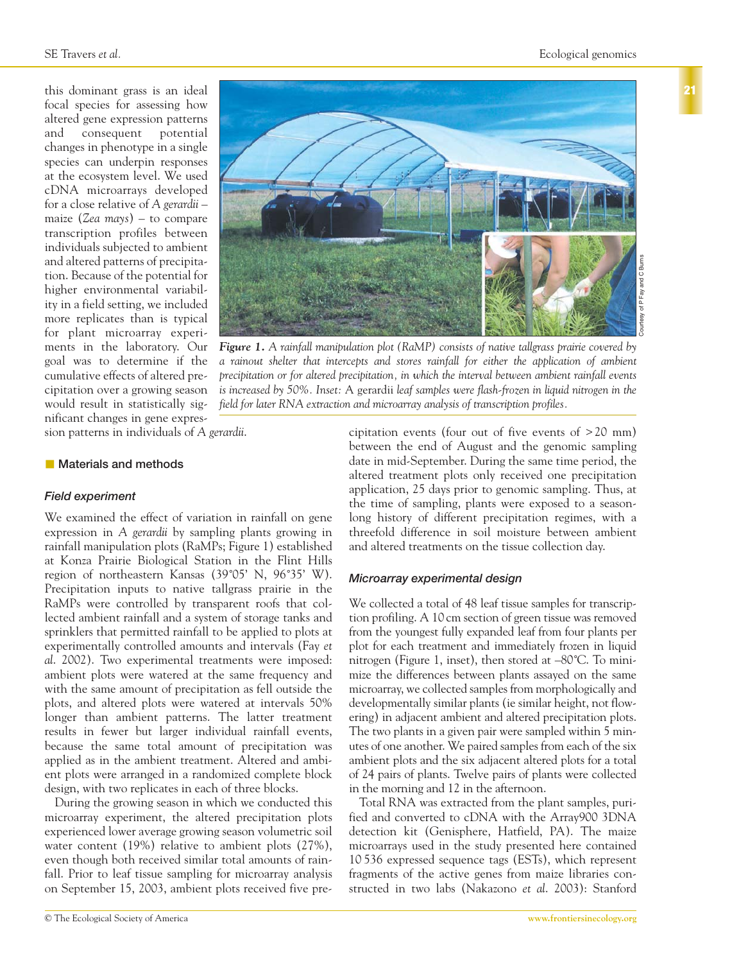this dominant grass is an ideal focal species for assessing how altered gene expression patterns and consequent potential changes in phenotype in a single species can underpin responses at the ecosystem level. We used cDNA microarrays developed for a close relative of *A gerardii* – maize (*Zea mays*) – to compare transcription profiles between individuals subjected to ambient and altered patterns of precipitation. Because of the potential for higher environmental variability in a field setting, we included more replicates than is typical for plant microarray experiments in the laboratory. Our goal was to determine if the cumulative effects of altered precipitation over a growing season would result in statistically significant changes in gene expres-



*Figure 1. A rainfall manipulation plot (RaMP) consists of native tallgrass prairie covered by a rainout shelter that intercepts and stores rainfall for either the application of ambient precipitation or for altered precipitation, in which the interval between ambient rainfall events is increased by 50%. Inset:* A gerardii *leaf samples were flash-frozen in liquid nitrogen in the field for later RNA extraction and microarray analysis of transcription profiles.* 

sion patterns in individuals of *A gerardii*.

# **Materials and methods**

## *Field experiment*

We examined the effect of variation in rainfall on gene expression in *A gerardii* by sampling plants growing in rainfall manipulation plots (RaMPs; Figure 1) established at Konza Prairie Biological Station in the Flint Hills region of northeastern Kansas (39˚05' N, 96˚35' W). Precipitation inputs to native tallgrass prairie in the RaMPs were controlled by transparent roofs that collected ambient rainfall and a system of storage tanks and sprinklers that permitted rainfall to be applied to plots at experimentally controlled amounts and intervals (Fay *et al*. 2002). Two experimental treatments were imposed: ambient plots were watered at the same frequency and with the same amount of precipitation as fell outside the plots, and altered plots were watered at intervals 50% longer than ambient patterns. The latter treatment results in fewer but larger individual rainfall events, because the same total amount of precipitation was applied as in the ambient treatment. Altered and ambient plots were arranged in a randomized complete block design, with two replicates in each of three blocks.

During the growing season in which we conducted this microarray experiment, the altered precipitation plots experienced lower average growing season volumetric soil water content (19%) relative to ambient plots (27%), even though both received similar total amounts of rainfall. Prior to leaf tissue sampling for microarray analysis on September 15, 2003, ambient plots received five precipitation events (four out of five events of > 20 mm) between the end of August and the genomic sampling date in mid-September. During the same time period, the altered treatment plots only received one precipitation application, 25 days prior to genomic sampling. Thus, at the time of sampling, plants were exposed to a seasonlong history of different precipitation regimes, with a threefold difference in soil moisture between ambient and altered treatments on the tissue collection day.

## *Microarray experimental design*

We collected a total of 48 leaf tissue samples for transcription profiling. A 10 cm section of green tissue was removed from the youngest fully expanded leaf from four plants per plot for each treatment and immediately frozen in liquid nitrogen (Figure 1, inset), then stored at –80˚C. To minimize the differences between plants assayed on the same microarray, we collected samples from morphologically and developmentally similar plants (ie similar height, not flowering) in adjacent ambient and altered precipitation plots. The two plants in a given pair were sampled within 5 minutes of one another. We paired samples from each of the six ambient plots and the six adjacent altered plots for a total of 24 pairs of plants. Twelve pairs of plants were collected in the morning and 12 in the afternoon.

Total RNA was extracted from the plant samples, purified and converted to cDNA with the Array900 3DNA detection kit (Genisphere, Hatfield, PA). The maize microarrays used in the study presented here contained 10 536 expressed sequence tags (ESTs), which represent fragments of the active genes from maize libraries constructed in two labs (Nakazono *et al*. 2003): Stanford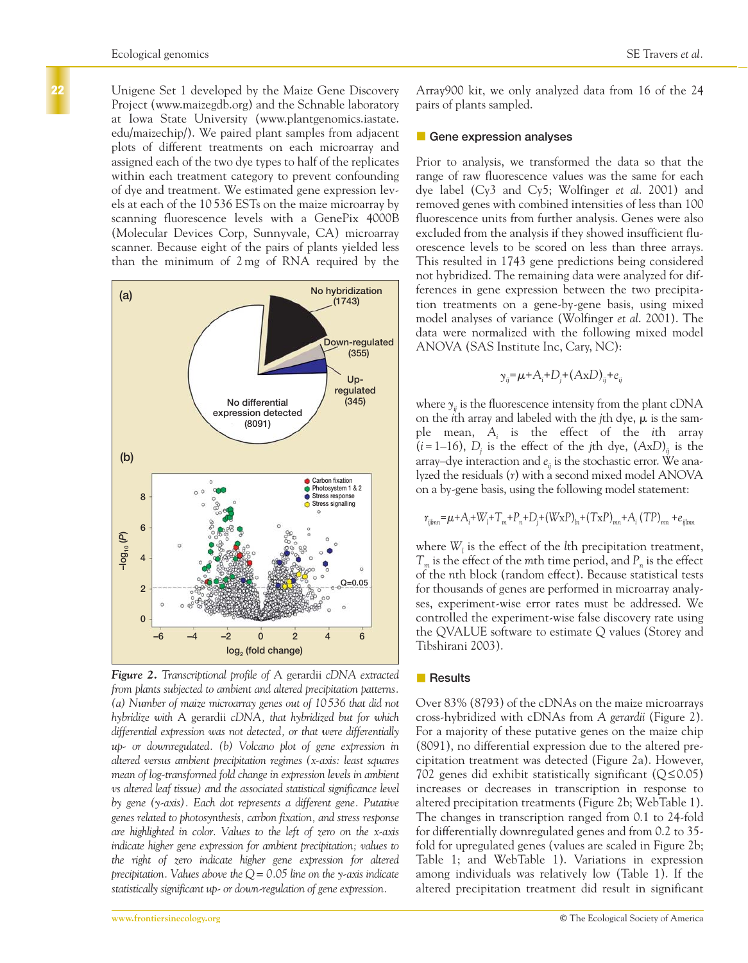**22**

Unigene Set 1 developed by the Maize Gene Discovery Project (www.maizegdb.org) and the Schnable laboratory at Iowa State University (www.plantgenomics.iastate. edu/maizechip/). We paired plant samples from adjacent plots of different treatments on each microarray and assigned each of the two dye types to half of the replicates within each treatment category to prevent confounding of dye and treatment. We estimated gene expression levels at each of the 10 536 ESTs on the maize microarray by scanning fluorescence levels with a GenePix 4000B (Molecular Devices Corp, Sunnyvale, CA) microarray scanner. Because eight of the pairs of plants yielded less than the minimum of 2 mg of RNA required by the



*Figure 2. Transcriptional profile of* A gerardii *cDNA extracted from plants subjected to ambient and altered precipitation patterns. (a) Number of maize microarray genes out of 10 536 that did not hybridize with* A gerardii *cDNA, that hybridized but for which differential expression was not detected, or that were differentially up- or downregulated. (b) Volcano plot of gene expression in altered versus ambient precipitation regimes (x-axis: least squares mean of log-transformed fold change in expression levels in ambient vs altered leaf tissue) and the associated statistical significance level by gene (y-axis). Each dot represents a different gene. Putative genes related to photosynthesis, carbon fixation, and stress response are highlighted in color. Values to the left of zero on the x-axis indicate higher gene expression for ambient precipitation; values to the right of zero indicate higher gene expression for altered precipitation. Values above the Q = 0.05 line on the y-axis indicate statistically significant up- or down-regulation of gene expression.*

Array900 kit, we only analyzed data from 16 of the 24 pairs of plants sampled.

#### **Gene expression analyses**

Prior to analysis, we transformed the data so that the range of raw fluorescence values was the same for each dye label (Cy3 and Cy5; Wolfinger *et al*. 2001) and removed genes with combined intensities of less than 100 fluorescence units from further analysis. Genes were also excluded from the analysis if they showed insufficient fluorescence levels to be scored on less than three arrays. This resulted in 1743 gene predictions being considered not hybridized. The remaining data were analyzed for differences in gene expression between the two precipitation treatments on a gene-by-gene basis, using mixed model analyses of variance (Wolfinger *et al*. 2001). The data were normalized with the following mixed model ANOVA (SAS Institute Inc, Cary, NC):

$$
y_{ij} = \mu + A_i + D_j + (AxD)_{ij} + e_{ij}
$$

where  $y_i$  is the fluorescence intensity from the plant cDNA on the *i*th array and labeled with the *j*th dye, is the sample mean, *Ai* is the effect of the *i*th array  $(i=1-16)$ ,  $D_i$  is the effect of the *j*th dye,  $(AxD)_{ii}$  is the array–dye interaction and  $e_{ii}$  is the stochastic error. We analyzed the residuals (*r*) with a second mixed model ANOVA on a by-gene basis, using the following model statement:

$$
r_{ijlmn} = \mu + A_i + W_i + T_m + P_n + D_j + (W \times P)_{ln} + (T \times P)_{mn} + A_i (TP)_{mn} + e_{ijlmn}
$$

where  $W_l$  is the effect of the *l*th precipitation treatment,  $T_m$  is the effect of the *m*th time period, and  $P_n$  is the effect of the *n*th block (random effect). Because statistical tests for thousands of genes are performed in microarray analyses, experiment-wise error rates must be addressed. We controlled the experiment-wise false discovery rate using the QVALUE software to estimate Q values (Storey and Tibshirani 2003).

#### **Results**

Over 83% (8793) of the cDNAs on the maize microarrays cross-hybridized with cDNAs from *A gerardii* (Figure 2). For a majority of these putative genes on the maize chip (8091), no differential expression due to the altered precipitation treatment was detected (Figure 2a). However, 702 genes did exhibit statistically significant (Q≤ 0.05) increases or decreases in transcription in response to altered precipitation treatments (Figure 2b; WebTable 1). The changes in transcription ranged from 0.1 to 24-fold for differentially downregulated genes and from 0.2 to 35 fold for upregulated genes (values are scaled in Figure 2b; Table 1; and WebTable 1). Variations in expression among individuals was relatively low (Table 1). If the altered precipitation treatment did result in significant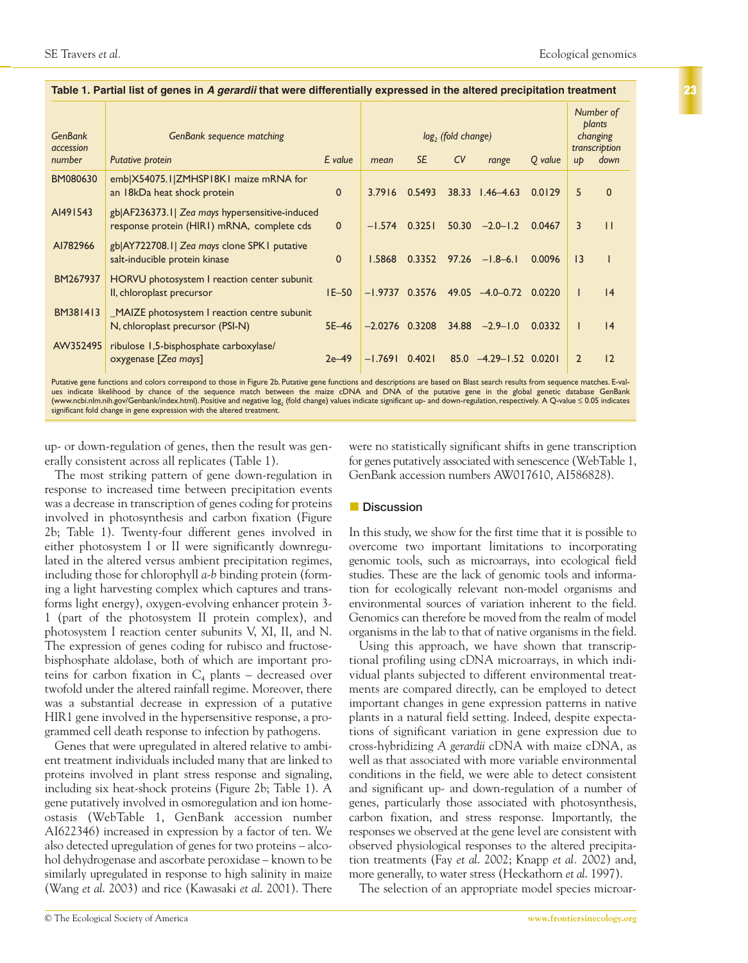| <b>GenBank</b><br>accession | <b>GenBank sequence matching</b>                                                             |              | $log2$ (fold change) |           |    |                             |         | Number of<br><b>blants</b><br>changing<br>transcription |              |
|-----------------------------|----------------------------------------------------------------------------------------------|--------------|----------------------|-----------|----|-----------------------------|---------|---------------------------------------------------------|--------------|
| number                      | Putative protein                                                                             | E value      | mean                 | <b>SE</b> | CV | range                       | O value | ub                                                      | down         |
| BM080630                    | emb X54075.1 ZMHSP18K1 maize mRNA for<br>an 18kDa heat shock protein                         | $\mathbf{0}$ | 3.7916               | 0.5493    |    | 38.33 1.46 - 4.63           | 0.0129  | 5                                                       | $\mathbf{0}$ |
| AI491543                    | gb AF236373.1  Zea mays hypersensitive-induced<br>response protein (HIRI) mRNA, complete cds | $\mathbf{0}$ | $-1.574$             | 0.3251    |    | $50.30 -2.0 - 1.2 0.0467$   |         | 3                                                       | $\mathbf{1}$ |
| AI782966                    | gb AY722708.1  Zea mays clone SPK1 putative<br>salt-inducible protein kinase                 | $\mathbf{0}$ | 1.5868               |           |    | $0.3352$ $97.26$ $-1.8-6.1$ | 0.0096  | 13                                                      |              |
| BM267937                    | HORVU photosystem I reaction center subunit<br>II, chloroplast precursor                     | $IE-50$      | $-1.9737$ 0.3576     |           |    | 49.05 -4.0-0.72 0.0220      |         | $\mathsf{I}$                                            | 4            |
| BM381413                    | _MAIZE photosystem I reaction centre subunit<br>N, chloroplast precursor (PSI-N)             | $5E-46$      | $-2.0276$ 0.3208     |           |    | $34.88 - 2.9 - 1.0$         | 0.0332  | $\mathsf{I}$                                            | 4            |
| AW352495                    | ribulose 1,5-bisphosphate carboxylase/<br>oxygenase [Zea mays]                               | $2e-49$      | $-1.7691$            | 0.4021    |    | 85.0 -4.29 - 1.52 0.0201    |         | $\overline{2}$                                          | 12           |

**Table 1. Partial list of genes in** *A gerardii* **that were differentially expressed in the altered precipitation treatment** 

Putative gene functions and colors correspond to those in Figure 2b. Putative gene functions and descriptions are based on Blast search results from sequence matches. E-values indicate likelihood by chance of the sequence match between the maize cDNA and DNA of the putative gene in the global genetic database GenBank (www.ncbi.nlm.nih.gov/Genbank/index.html). Positive and negative log2 (fold change) values indicate significant up- and down-regulation, respectively. A Q-value ≤ 0.05 indicates significant fold change in gene expression with the altered treatment

up- or down-regulation of genes, then the result was generally consistent across all replicates (Table 1).

The most striking pattern of gene down-regulation in response to increased time between precipitation events was a decrease in transcription of genes coding for proteins involved in photosynthesis and carbon fixation (Figure 2b; Table 1). Twenty-four different genes involved in either photosystem I or II were significantly downregulated in the altered versus ambient precipitation regimes, including those for chlorophyll *a-b* binding protein (forming a light harvesting complex which captures and transforms light energy), oxygen-evolving enhancer protein 3- 1 (part of the photosystem II protein complex), and photosystem I reaction center subunits V, XI, II, and N. The expression of genes coding for rubisco and fructosebisphosphate aldolase, both of which are important proteins for carbon fixation in  $C_4$  plants – decreased over twofold under the altered rainfall regime. Moreover, there was a substantial decrease in expression of a putative HIR1 gene involved in the hypersensitive response, a programmed cell death response to infection by pathogens.

Genes that were upregulated in altered relative to ambient treatment individuals included many that are linked to proteins involved in plant stress response and signaling, including six heat-shock proteins (Figure 2b; Table 1). A gene putatively involved in osmoregulation and ion homeostasis (WebTable 1, GenBank accession number AI622346) increased in expression by a factor of ten. We also detected upregulation of genes for two proteins – alcohol dehydrogenase and ascorbate peroxidase – known to be similarly upregulated in response to high salinity in maize (Wang *et al*. 2003) and rice (Kawasaki *et al*. 2001). There

were no statistically significant shifts in gene transcription for genes putatively associated with senescence (WebTable 1, GenBank accession numbers AW017610, AI586828).

## **Discussion**

In this study, we show for the first time that it is possible to overcome two important limitations to incorporating genomic tools, such as microarrays, into ecological field studies. These are the lack of genomic tools and information for ecologically relevant non-model organisms and environmental sources of variation inherent to the field. Genomics can therefore be moved from the realm of model organisms in the lab to that of native organisms in the field.

Using this approach, we have shown that transcriptional profiling using cDNA microarrays, in which individual plants subjected to different environmental treatments are compared directly, can be employed to detect important changes in gene expression patterns in native plants in a natural field setting. Indeed, despite expectations of significant variation in gene expression due to cross-hybridizing *A gerardii* cDNA with maize cDNA, as well as that associated with more variable environmental conditions in the field, we were able to detect consistent and significant up- and down-regulation of a number of genes, particularly those associated with photosynthesis, carbon fixation, and stress response. Importantly, the responses we observed at the gene level are consistent with observed physiological responses to the altered precipitation treatments (Fay *et al*. 2002; Knapp *et al.* 2002) and, more generally, to water stress (Heckathorn *et al*. 1997).

The selection of an appropriate model species microar-